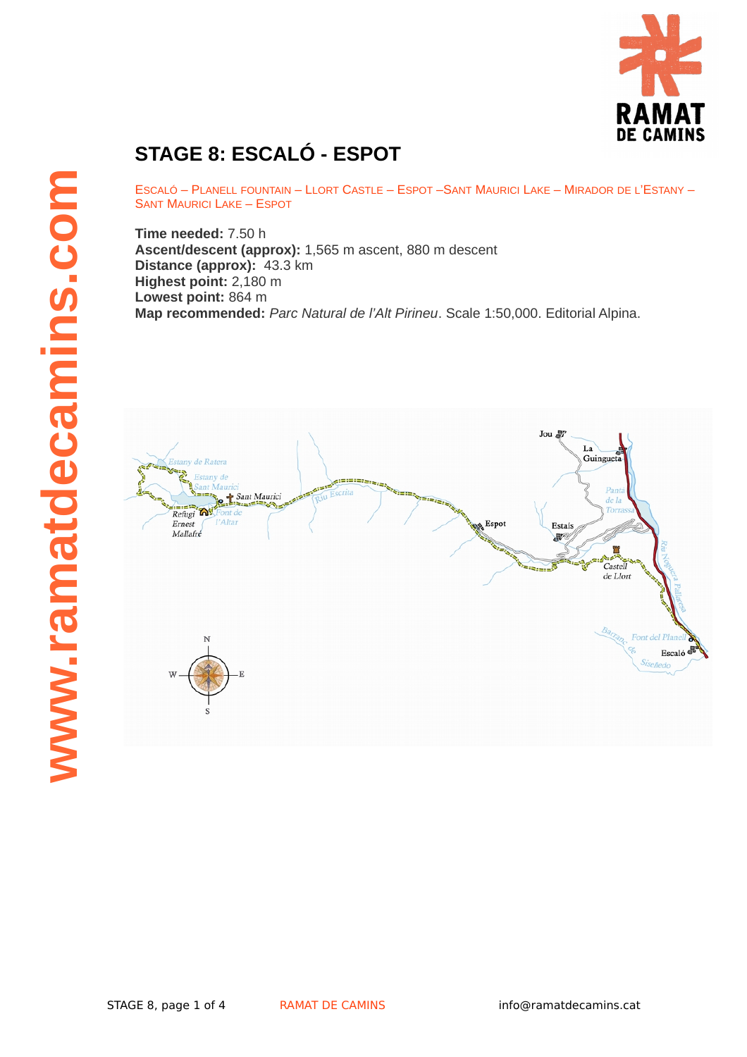

## **STAGE 8: ESCALÓ - ESPOT**

ESCALÓ – PLANELL FOUNTAIN – LLORT CASTLE – ESPOT –SANT MAURICI LAKE – MIRADOR DE L'ESTANY – SANT MAURICI LAKE – ESPOT

**Time needed:** 7.50 h **Ascent/descent (approx):** 1,565 m ascent, 880 m descent **Distance (approx):** 43.3 km **Highest point:** 2,180 m **Lowest point:** 864 m **Map recommended:** *Parc Natural de l'Alt Pirineu*. Scale 1:50,000. Editorial Alpina.

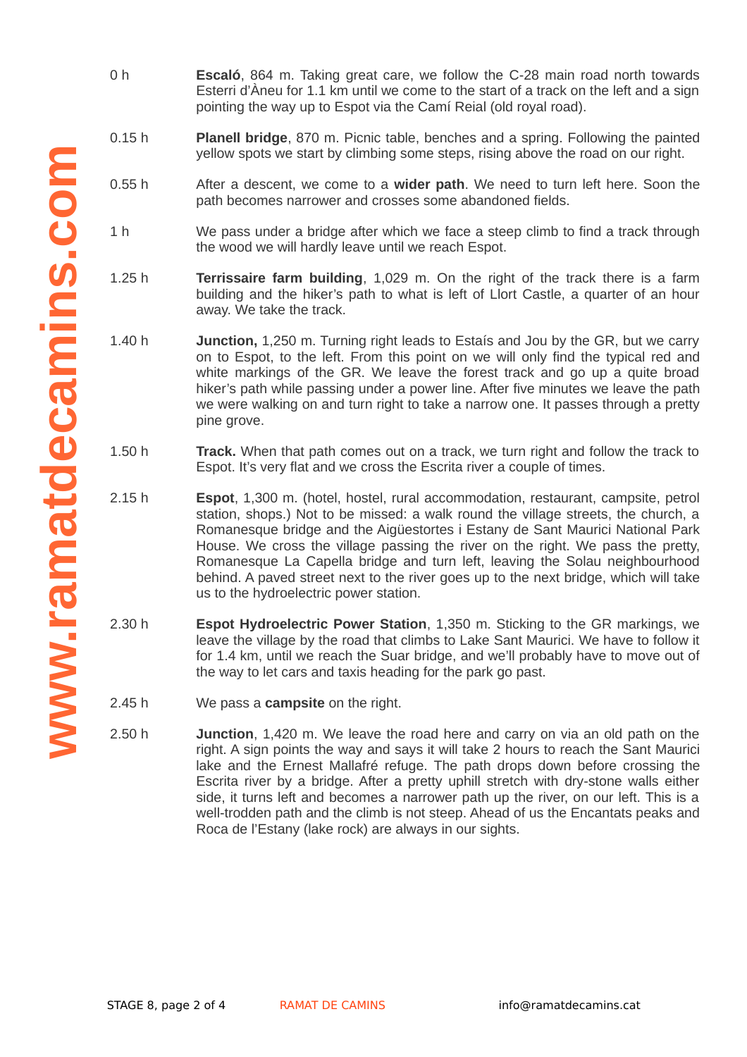- **www .ramatdecaminscom**
- 0 h **Escaló**, 864 m. Taking great care, we follow the C-28 main road north towards Esterri d'Àneu for 1.1 km until we come to the start of a track on the left and a sign pointing the way up to Espot via the Camí Reial (old royal road).
- 0.15 h **Planell bridge**, 870 m. Picnic table, benches and a spring. Following the painted yellow spots we start by climbing some steps, rising above the road on our right.
	- $0.55h$ After a descent, we come to a **wider path**. We need to turn left here. Soon the path becomes narrower and crosses some abandoned fields.
	- 1 h We pass under a bridge after which we face a steep climb to find a track through the wood we will hardly leave until we reach Espot.
	- 1.25 h **Terrissaire farm building**, 1,029 m. On the right of the track there is a farm building and the hiker's path to what is left of Llort Castle, a quarter of an hour away. We take the track.
	- 1.40 h **Junction,** 1,250 m. Turning right leads to Estaís and Jou by the GR, but we carry on to Espot, to the left. From this point on we will only find the typical red and white markings of the GR. We leave the forest track and go up a quite broad hiker's path while passing under a power line. After five minutes we leave the path we were walking on and turn right to take a narrow one. It passes through a pretty pine grove.
	- 1.50 h **Track.** When that path comes out on a track, we turn right and follow the track to Espot. It's very flat and we cross the Escrita river a couple of times.
	- $2.15h$ 2.15 h **Espot**, 1,300 m. (hotel, hostel, rural accommodation, restaurant, campsite, petrol station, shops.) Not to be missed: a walk round the village streets, the church, a Romanesque bridge and the Aigüestortes i Estany de Sant Maurici National Park House. We cross the village passing the river on the right. We pass the pretty, Romanesque La Capella bridge and turn left, leaving the Solau neighbourhood behind. A paved street next to the river goes up to the next bridge, which will take us to the hydroelectric power station.
	- 2.30 h **Espot Hydroelectric Power Station**, 1,350 m. Sticking to the GR markings, we leave the village by the road that climbs to Lake Sant Maurici. We have to follow it for 1.4 km, until we reach the Suar bridge, and we'll probably have to move out of the way to let cars and taxis heading for the park go past.
	- 2.45 h We pass a **campsite** on the right.
	- 2.50 h **Junction**, 1,420 m. We leave the road here and carry on via an old path on the right. A sign points the way and says it will take 2 hours to reach the Sant Maurici lake and the Ernest Mallafré refuge. The path drops down before crossing the Escrita river by a bridge. After a pretty uphill stretch with dry-stone walls either side, it turns left and becomes a narrower path up the river, on our left. This is a well-trodden path and the climb is not steep. Ahead of us the Encantats peaks and Roca de l'Estany (lake rock) are always in our sights.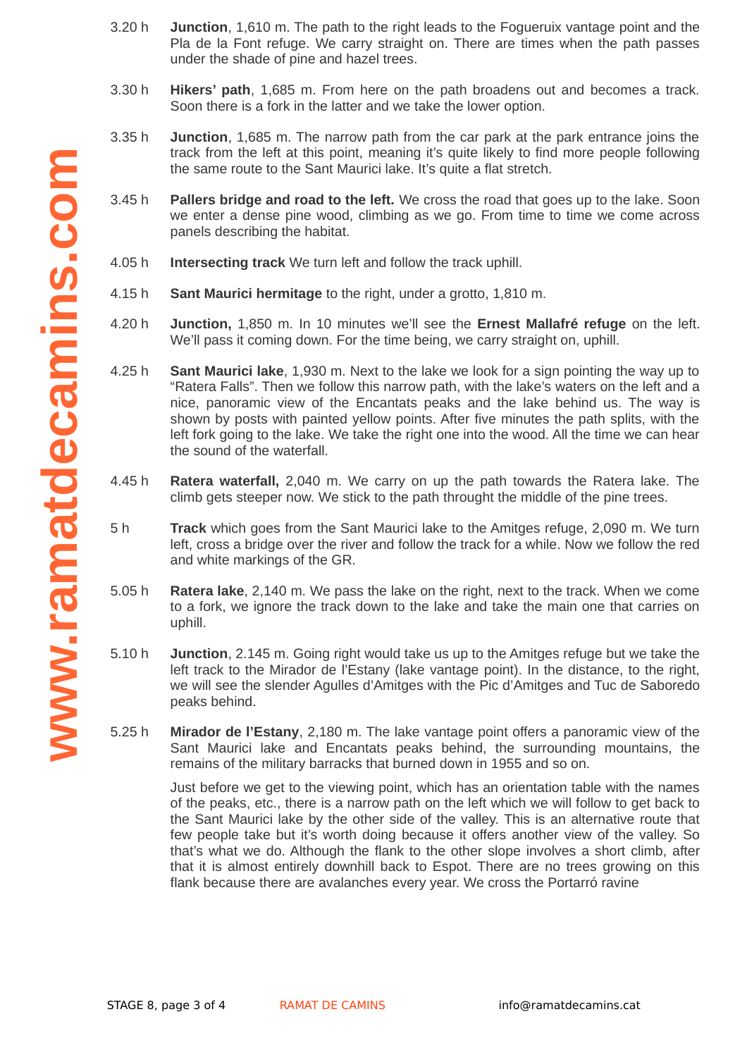- 3.20 h **Junction**, 1,610 m. The path to the right leads to the Fogueruix vantage point and the Pla de la Font refuge. We carry straight on. There are times when the path passes under the shade of pine and hazel trees.
- 3.30 h **Hikers' path**, 1,685 m. From here on the path broadens out and becomes a track. Soon there is a fork in the latter and we take the lower option.
- 3.35 h **Junction**, 1,685 m. The narrow path from the car park at the park entrance joins the track from the left at this point, meaning it's quite likely to find more people following the same route to the Sant Maurici lake. It's quite a flat stretch.
- 3.45 h **Pallers bridge and road to the left.** We cross the road that goes up to the lake. Soon we enter a dense pine wood, climbing as we go. From time to time we come across panels describing the habitat.
- 4.05 h **Intersecting track** We turn left and follow the track uphill.
- 4.15 h **Sant Maurici hermitage** to the right, under a grotto, 1,810 m.
- $4.20h$ **Junction,** 1,850 m. In 10 minutes we'll see the **Ernest Mallafré refuge** on the left. We'll pass it coming down. For the time being, we carry straight on, uphill.
- 4.25 h **Sant Maurici lake**, 1,930 m. Next to the lake we look for a sign pointing the way up to "Ratera Falls". Then we follow this narrow path, with the lake's waters on the left and a nice, panoramic view of the Encantats peaks and the lake behind us. The way is shown by posts with painted yellow points. After five minutes the path splits, with the left fork going to the lake. We take the right one into the wood. All the time we can hear the sound of the waterfall.
- 4.45 h **Ratera waterfall,** 2,040 m. We carry on up the path towards the Ratera lake. The climb gets steeper now. We stick to the path throught the middle of the pine trees.
- 5 h **Track** which goes from the Sant Maurici lake to the Amitges refuge, 2,090 m. We turn left, cross a bridge over the river and follow the track for a while. Now we follow the red and white markings of the GR.
- $5.05h$ **Ratera lake**, 2,140 m. We pass the lake on the right, next to the track. When we come to a fork, we ignore the track down to the lake and take the main one that carries on uphill.
- 5.10 h **Junction**, 2.145 m. Going right would take us up to the Amitges refuge but we take the left track to the Mirador de l'Estany (lake vantage point). In the distance, to the right, we will see the slender Agulles d'Amitges with the Pic d'Amitges and Tuc de Saboredo peaks behind.
- 5.25 h **Mirador de l'Estany**, 2,180 m. The lake vantage point offers a panoramic view of the Sant Maurici lake and Encantats peaks behind, the surrounding mountains, the remains of the military barracks that burned down in 1955 and so on.

Just before we get to the viewing point, which has an orientation table with the names of the peaks, etc., there is a narrow path on the left which we will follow to get back to the Sant Maurici lake by the other side of the valley. This is an alternative route that few people take but it's worth doing because it offers another view of the valley. So that's what we do. Although the flank to the other slope involves a short climb, after that it is almost entirely downhill back to Espot. There are no trees growing on this flank because there are avalanches every year. We cross the Portarró ravine